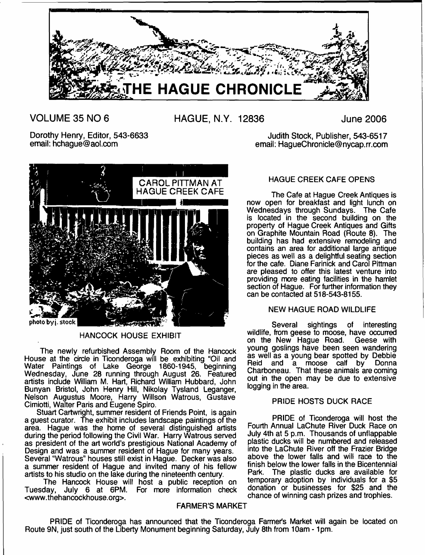

**VOLUME 35 NO 6 HAGUE, N.Y. 12836 June 2006**

Dorothy Henry, Editor, 543-6633 email: [hchague@aol.com](mailto:hchague@aol.com)



HANCOCK HOUSE EXHIBIT

The newly refurbished Assembly Room of the Hancock House at the circle in Tlconderoga will be exhibiting "Oil and Water Paintings of Lake George 1860-1945, beginning Wednesday, June 28 running through August 26. Featured artists include William M. Hart, Richard William Hubbard, John Bunyan Bristol, John Henry Hill, Nikolay Tysland Leganger, Nelson Augustus Moore, Harry Willson Watrous, Gustave Cimiotti, Walter Paris and Eugene Spiro.

Stuart Cartwright, summer resident of Friends Point, is again a guest curator. The exhibit includes landscape paintings of the area. Hague was the home of several distinguished artists during the period following the Civil War. Harry Watrous served as president of the art world's prestigious National Academy of Design and was a summer resident of Hague for many years. Several "Watrous" houses still exist in Hague. Decker was also a summer resident of Hague and invited many of his fellow artists to his studio on the lake during the nineteenth century.

The Hancock House will host a public reception on Tuesday, July 6 at 6PM. For more information check [<www.thehancockhouse.org>](http://www.thehancockhouse.org).

## FARMER'S MARKET

## HAGUE CREEK CAFE OPENS

Judith Stock, Publisher, 543-6517 email: HagueChronicle@nycap.rr.com

The Cafe at Hague Creek Antiques is now open for breakfast and light lunch on Wednesdays through Sundays. The Cafe is located in the second building on the property of Hague Creek Antiques and Gifts on Graphite Mountain Road (Route 8). The building has had extensive remodeling and contains an area for additional large antique pieces as well as a delightful seating section for the cafe. Diane Farinick and Carol Pittman are pleased to offer this latest venture into providing more eating facilities in the hamlet section of Hague. For further information they can be contacted at 518-543-8155.

## NEW HAGUE ROAD WILDLIFE

Several sightings of interesting wildlife, from geese to moose, have occurred on the New Hague Road. Geese with young goslings have been seen wandering as well as a young bear spotted by Debbie Reid and a moose calf by Donna Charboneau. That these animals are coming out in the open may be due to extensive logging in the area.

## PRIDE HOSTS DUCK RACE

PRIDE of Ticonderoga will host the Fourth Annual LaChute River Duck Race on July 4th at 5 p.m. Thousands of unflappable plastic ducks will be numbered and released into the LaChute River off the Frazier Bridge above the lower falls and will race to the finish below the lower falls in the Bicentennial Park. The plastic ducks are available for temporary adoption by individuals for a \$5 donation or businesses for \$25 and the chance of winning cash prizes and trophies.

PRIDE of Ticonderoga has announced that the Ticonderoga Farmer's Market will again be located on Route 9N, just south of the Liberty Monument beginning Saturday, July 8th from 10am - 1pm.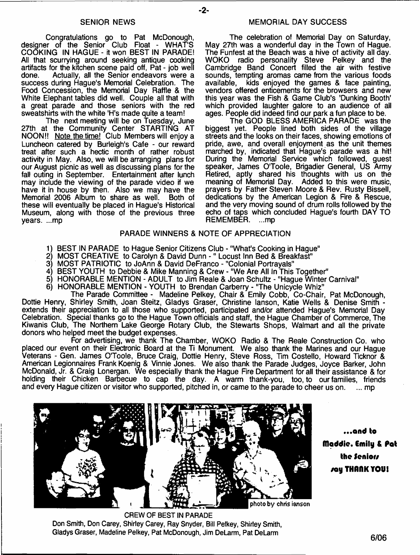#### SENIOR NEWS

Congratulations go to Pat McDonough, designer of the Senior Club Float - WHAT'S COOKING IN HAGUE - it won BEST IN PARADE! All that scurrying around seeking antique cooking artifacts for the kitchen scene paid off, Pat - job well Actually, all the Senior endeavors were a success during Hague's Memorial Celebration. The Food Concession, the Memorial Day Raffle & the White Elephant tables did well. Couple all that with a great parade and those seniors with the red sweatshirts with the white 'H's made quite a team!

The next meeting will be on Tuesday, June 27th at the Community Center STARTING AT NOON!! Note the time! Club Members will enjoy a Luncheon catered by Burleigh's Cafe - our reward treat after such a hectic month of rather robust activity in May. Also, we will be arranging plans for our August picnic as well as discussing plans for the fall outing in September. Entertainment after lunch may include the viewing of the parade video if we have it in house by then. Also we may have the Memorial 2006 Album to share as well. Both of these will eventually be placed in Hague's Historical Museum, along with those of the previous three years. ...mp

The celebration of Memorial Day on Saturday, May 27th was a wonderful day in the Town of Hague. The Funfest at the Beach was a hive of activity all day.<br>WOKO radio personality Steve Pelkey and the radio personality Steve Pelkey and the Cambridge Band Concert filled the air with festive sounds, tempting aromas came from the various foods available. kids enjoyed the games & face painting.  $kids$  enjoyed the games  $&$  face painting, vendors offered enticements for the browsers and new this year was the Fish & Game Club's 'Dunking Booth' which provided laughter galore to an audience of all ages. People did indeed find our park a fun place to be.

The GOD BLESS AMERICA PARADE was the biggest yet. People lined both sides of the village streets and the looks on their faces, showing emotions of pride, awe, and overall enjoyment as the unit themes marched by, indicated that Hague's parade was a hit! During the Memorial Service which followed, guest speaker, James O'Toole, Brigadier General, US Army Retired, aptly shared his thoughts with us on the meaning of Memorial Day. Added to this were music, prayers by Father Steven Moore & Rev. Rusty Bissell, dedications by the American Legion & Fire & Rescue. and the very moving sound of drum rolls followed by the echo of taps which concluded Hague's fourth DAY TO REMEMBER. ...mp

## PARADE WINNERS & NOTE OF APPRECIATION

- 1) BEST IN PARADE to Hague Senior Citizens Club "What's Cooking in Hague"
- 2) MOST CREATIVE to Carolyn & David Dunn -" Locust Inn Bed & Breakfast"
- 3) MOST PATRIOTIC to JoAnn & David DeFranco "Colonial Portrayals"
- 4) BEST YOUTH to Debbie & Mike Manning & Crew "We Are All In This Together"
- 5) HONORABLE MENTION ADULT to Jim Reale & Joan Schultz "Hague Winter Carnival"
- 6) HONORABLE MENTION YOUTH to Brendan Carberry "The Unicycle Whiz"

The Parade Committee - Madeline Pelkey, Chair & Emily Cobb, Co-Chair, Pat McDonough, Dottie Henry, Shirley Smith, Joan Steitz, Gladys Graser, Christine lanson, Katie Wells & Denise Smith extends their appreciation to all those who supported, participated and/or attended Hague's Memorial Day Celebration. Special thanks go to the Hague Town officials and staff, the Hague Chamber of Commerce, The Kiwanis Club, The Northern Lake George Rotary Club, the Stewarts Shops, Walmart and all the private donors who helped meet the budget expenses.

For advertising, we thank The Chamber, WOKO Radio & The Reale Construction Co. who placed our event on their Electronic Board at the Ti Monument. We also thank the Marines and our Hague Veterans - Gen. James O'Toole, Bruce Craig, Dottie Henry, Steve Ross, Tim Costello, Howard Ticknor & American Legionnaires Frank Koenig & Vinnie Jones. We also thank the Parade Judges, Joyce Barker, John McDonald, Jr. & Craig Lonergan. We especially thank the Hague Fire Department for all their assistance & for holding their Chicken Barbecue to cap the day. A warm thank-you, too, to our families, friends and every Hague citizen or visitor who supported, pitched in, or came to the parade to cheer us on. ... mp



**CREW OF BEST IN PARADE Don Smith, Don Carey, Shirley Carey, Ray Snyder, Bill Pelkey, Shirley Smith, Gladys Graser, Madeline Pelkey, Pat McDonough, Jim DeLarm , Pat DeLarm**

...a n d to flladdie. Emily & Pot the Senior/ /ay THfMK YOU!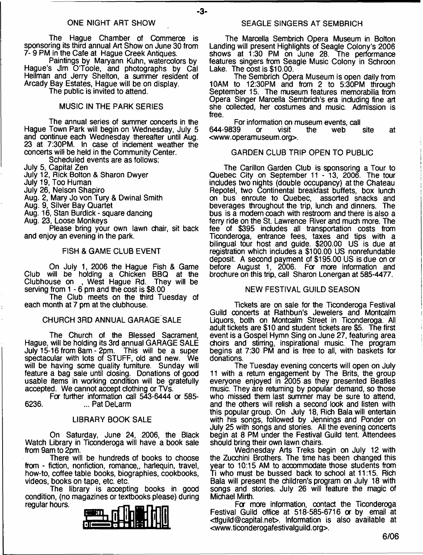#### ONE NIGHT ART SHOW

- **3**-

The Hague Chamber of Commerce is sponsoring its third annual Art Show on June 30 from 7- 9 PM in the Cafe at Hague Creek Antiques.

Paintings by Maryann Kuhn, watercolors by Hague's Jim O'Toole, and photographs by Cal Heilman and Jerry Shelton, a summer resident of Arcady Bay Estates, Hague will be on display.

The public is invited to attend.

## MUSIC IN THE PARK SERIES

The annual series of summer concerts in the Hague Town Park will begin on Wednesday, July 5 and continue each Wednesday thereafter until Aug. 23 at 7:30PM. In case of inclement weather the concerts will be held in the Community Center.

Scheduled events are as follows:

July 5, Capital Zen

July 12, Rick Bolton & Sharon Dwyer

July 19, Too Human

July 26, Nelson Shapiro

Aug. 2, Mary Jo von Tury & Dwinal Smith

Aug. 9, Silver Bay Quartet

Aug. 16, Stan Burdick - square dancing

Aug. 23, Loose Monkeys

Please bring your own lawn chair, sit back and enjoy an evening in the park.

#### FISH & GAME CLUB EVENT

On July 1, 2006 the Hague Fish & Game Club will be holding a Chicken BBQ at the Clubhouse on , West Hague Rd. They will be serving from 1 - 6 pm and the cost is \$8.00

The Club meets on the third Tuesday of each month at 7 pm at the clubhouse.

#### CHURCH 3RD ANNUAL GARAGE SALE

The Church of the Blessed Sacrament, Hague, will be holding its 3rd annual GARAGE SALE July 15-16 from 8am - 2pm. This will be a super spectacular with lots of STUFF, old and new. We will be having some quality furniture. Sunday will feature a bag sale until closing. Donations of good usable items in working condition will be gratefully accepted. We cannot accept clothing or TVs.

For further information call 543-6444 or 585- 6236. ... Pat DeLarm

#### LIBRARY BOOK SALE

On Saturday, June 24, 2006, the Black Watch Library in Ticonderoga will have a book sale from 9am to 2pm.

There will be hundreds of books to choose from - fiction, nonfiction, romance,, harlequin, travel, how-to, coffee table books, biographies, cookbooks, videos, books on tape, etc. etc.

The library is accepting books in good condition, (no magazines or textbooks please) during regular hours.



The Marcella Sembrich Opera Museum in Bolton Landing will present Highlights of Seagle Colony's 2006 shows at 1:30 PM on June 28. The performance features singers from Seagle Music Colony in Schroon Lake. The cost is \$10.00.

The Sembrich Opera Museum is open daily from 10AM to 12:30PM and from 2 to 5:30PM through September 15. The museum features memorabilia from Opera Singer Marcella Sembrich's era including fine art she collected, her costumes and music. Admission is free.

For information on museum events, call<br>39 cr singlet the web site 644-9839 or visit the web site at [<www.operamuseum.org>](http://www.operamuseum.org).

#### GARDEN CLUB TRIP OPEN TO PUBLIC

The Carillon Garden Club is sponsoring a Tour to Quebec City on September 11 - 13, 2006. The tour includes two nights (double occupancy) at the Chateau Repotel, two Continental breakfast buffets, box lunch on bus enroute to Quebec, assorted snacks and beverages throughout the trip, lunch and dinners. The bus is a modern coach with restroom and there is also a ferry ride on the St. Lawrence River and much more. The fee of \$395 includes all transportation costs from Ticonderoga, entrance fees, taxes and tips with a bilingual tour host and guide. \$200.00 US is due at registration which includes a \$100.00 US nonrefundable deposit. A second payment of \$195.00 US is due on or before August 1, 2006. For more information and brochure on this trip, call Sharon Lonergan at 585-4477.

#### NEW FESTIVAL GUILD SEASON

Tickets are on sale for the Ticonderoga Festival Guild concerts at Rathbun's Jewelers and Montcalm Liquors, both on Montcalm Street in Ticonderoga. All adult tickets are \$10 and student tickets are \$5. The first event is a Gospel Hymn Sing on June 27, featuring area choirs and stirring, inspirational music. The program begins at 7:30 PM and is free to all, with baskets for donations.

The Tuesday evening concerts will open on July 11 with a return engagement by The Brits, the group everyone enjoyed in 2005 as they presented Beatles music. They are returning by popular demand, so those who missed them last summer may be sure to attend, and the others will relish a second look and listen with this popular group. On July 18, Rich Bala will entertain with his songs, followed by Jennings and Ponder on July 25 with songs and stories. All the evening concerts begin at 8 PM under the Festival Guild tent. Attendees should bring their own lawn chairs.

Wednesday Arts Treks begin on July 12 with the Zucchini Brothers. The time has been changed this year to 10:15 AM to accommodate those students from Ti who must be bussed back to school at 11:15. Rich Bala will present the children's program on July 18 with songs and stories. July 26 will feature the magic of Michael Mirth.

Fa more information, contact the Ticonderoga Festival Guild office at 518-585-6716 or by email at <[tfguild@capital.net>](mailto:tfguild@capital.net). Information is also available at <[www.ticonderogafestivalguild.org>](http://www.ticonderogafestivalguild.org).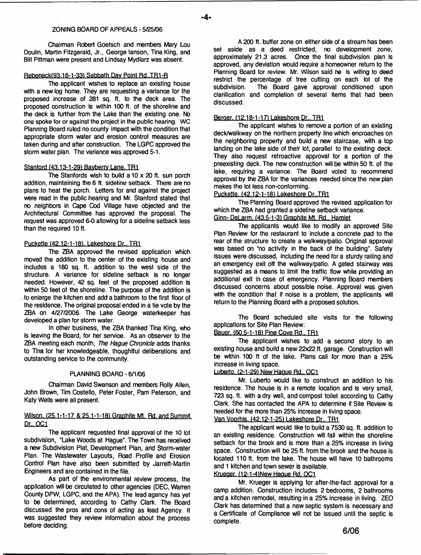#### **ZONING BOARD OF APPEALS - 5/25/06**

**Chairman Robert Goetsch and members Mary Lou Doulin, Martin Fitzgerald, Jr., George ianson, Tina King, and Bill Pittman were present and Lindsay Mydlarz was absent.**

#### **Rebenackf93.16-1 -33) Sabbath Dav Point Rd..TR1-R**

**The applicant wishes to replace an existing house with a new log home. They are requesting a variance tor the proposed increase of 281 sq. ft. to the deck area. The proposed construction is within 100 ft, of the shoreline and the deck is further from the Lake than the existing one. No one spoke for or against the project in the public hearing. WC Planning Board ruled no county impact with the condition that appropriate storm water and erosion control measures are taken during and after construction. The LGPC approved the storm water plan. The variance was approved 5-1.**

#### **Stanford (43.13-1-29) Bavberrv Lane. TR1**

**The Stanfords wish to build a 10 x 20 ft. sun porch addition, maintaining the 6 ft. sideline setback. There are no plans to heat the porch. Letters for and against the project were read in the public hearing and Mr. Stanford stated that no neighbors in Cape Cod Village have objected and the Architectural Committee has approved the proposal. The request was approved 6-0 allowing for a sideline setback less than the required 10 ft.**

#### **Puckette (42.12-1-181. Lakeshore Dr., TR1**

**The ZBA approved the revised application which moved the addition to the center of the existing house and includes a 180 sq. ft. addition to the west side of the structure. A variance for sideline setback is no longer needed. However, 42 sq. feet of the proposed addition is within 50 feet of the shoreline. The purpose of the addition is to enlarge the kitchen and add a bathroom to the first floor of the residence. The original proposal ended in a tie vote by the ZBA on 4/27/2006. The Lake George waterkeeper has developed a plan for storm water.**

**In other business, the ZBA thanked Tina King, who is leaving the Board, for her service. As an observer to the ZBA meeting each month,** *The Hague Chronicle* **adds thanks to Tina for her knowledgeable, thoughtful deliberations and outstanding service to the community.**

#### **PLANNING BOARD - 6/1/06**

**Chairman David Swanson and members Roily Allen,** John Brown, Tim Costello, Peter Foster, Pam Peterson, and **Katy Wells were all present.**

#### **Wilson. (25.1-1-17 & 25.1-1-181 Graphite Mt. Rd. and Summit Dr.. OC1**

The applicant requested final approval of the 10 lot subdivision, "Lake Woods at Hague". The Town has received **a new Subdivision Plat, Development Plan, and Storm-water Plan. The Wastewater Layouts, Road Profile and Erosion Control Plan have also been submitted by Jarrett-Martin Engineers and are contained in the file.**

**As part of the environmental review process, the application will be circulated to other agencies (DEC, Warren County DPW, LGPC, and the APA). The lead agency has yet to be determined, according to Cathy Clark. The Board discussed the pros and cons of acting as lead Agency. It was suggested they review information about the process before deciding.**

**A 200 ft. buffer zone on either side of a stream has been set aside as a deed restricted, no development zone, approximately 21.3 acres. Once the final subdivision plan is approved, any deviation would require a homeowner return to the Planning Board for review. Mr. Wilson said he is willing to deed restrict the percentage of tree cutting on each lot of the subdivision. The Board gave approval conditioned upon clarification and completion of several items that had been discussed.**

#### **Berner. (12.18-1-171 Lakeshore Dr.. TR1**

**The applicant wishes to remove a portion of an existing deck/walkway on the northern property line which encroaches on the neighboring property and build a new staircase, with a top landing on the lake side of their lot, parallel to the existing deck. They also request retroactive approval for a portion of the preexisting deck. The new construction will be within 50 ft. of the lake, requiring a variance. The Board voted to recommend approval by the ZBA for the variances needed since the new plan makes the lot less non-conforming.**

#### **Puckette. 142.12-1-18) Lakeshore Dr..TR1**

**The Planning Board approved the revised application for which the ZBA had granted a sideline setback variance. Ginn- DeLarm. (43.5-1-3) Graphite Mt. Rd.. Hamlet**

**The applicants would like to modify an approved Site**

**Plan Review for the restaurant to include a concrete pad to the rear of the structure to create a waikway/patio. Original approval was based on "no activity in the back of the building". Safety issues were discussed, including the need for a sturdy railing and an emergency exit off the walkway/patio. A gated stairway was suggested as a means to limit the traffic flow while providing an additional exit in case of emergency. Planning Board members discussed concerns about possible noise. Approval was given with the condition that if noise is a problem, the applicants will return to the Planning Board with a proposed solution.**

**The Board scheduled site visits for the following applications for Site Plan Review;**

#### **Bauer. (60.5-1-18) Pine Cove Rd.. TR1**

**The applicant wishes to add a second story to an existing house and build a new 22x22 ft. garage. Construction will be within 100 ft of the lake. Plans call for more than a 25% increase in living space.**

#### **Luberto. 12-1-29) New Hague Rd.. OC1**

**Mr. Luberto would like to construct an addition to his residence. The house is in a remote location and is very small, 723 sq. ft. with a dry well, and compost toilet according to Cathy Clark. She has contacted the APA to determine if Site Review is needed for the more than 25% increase in living space.**

#### **Van Voorhis. <42.12-1-251 Lakeshore Dr.. TR1**

**The applicant would like to build a 7530 sq. ft. addition to an existing residence. Construction will fall within the shoreline setback for the brook and is more than a 25% increase in living space. Construction will be 25 ft. from the brook and the house is located 110 ft. from the take. The house will have 10 bathrooms and 1 kitchen and town sewer is available.**

## **Krueaer. (12-1-4)New Hague Rd. OC1**

**Mr. Krueger is applying for after-the-fact approval for a camp addition. Construction includes 2 bedrooms, 2 bathrooms and a kitchen remodel, resulting in a 25% increase in living. ZEO Clark has determined that a new septic system is necessary and a Certificate of Compliance will not be issued until the septic is complete.**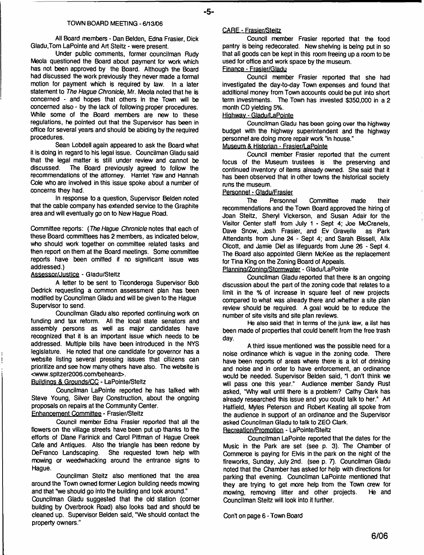#### **TOWN BOARD MEETING - 6/1306**

**All Board members - Dan Belden, Edna Frasier, Dick Gladu.Tom LaPointe and Art Steitz - were present.**

**Under public comments, former councilman Rudy Meota questioned the Board about payment for work which has not been approved by the Board. Although the Board had discussed the work previously they never made a formal motion for payment which is required by taw. In a later statement to** *The Hague Chronicle,* **Mr. Meola noted that he is concerned - and hopes that others in the Town will be concerned also - by the lack of following proper procedures.** While some of the Board members are new to these **regulations, he pointed out that the Supervisor has been in office for several years and should be abiding by the required procedures.**

**Sean Lobdell again appeared to ask the Board what it is doing in regard to his legal issue. Councilman Gladu said that the legal matter is still under review and cannot be** The Board previously agreed to follow the **recommendations of the attorney. Harriet Yaw and Hannah Cole who are involved in this issue spoke about a number of concerns they had.**

**In response to a question, Supervisor Belden noted that the cable company has extended service to the Graphite area and will eventually go on to New Hague Road.**

**Committee reports:** *(The Hague Chronicle* **notes that each of these Board committees has 2 members, as indicated below, who should work together on committee related tasks and then report on them at the Board meetings. Some committee reports have been omitted if no significant issue was addressed.)**

#### **Assessor/Justice - Giadu/Steftz**

**A letter to be sent to Ticonderoga Supervisor Bob Dedrick requesting a common assessment plan has been modified by Councilman Gladu and will be given to the Hague Supervisor to send.**

**Councilman Gladu also reported continuing work on funding and tax reform. Ali the local state senators and assembly persons as well as major candidates have recognized that it is an important issue which needs to be addressed. Multiple bills have been introduced in the NYS legislature. He noted that one candidate for governor has a website listing several pressing issues that citizens can prioritize and see how many others have also. The website is <[www.spltzer2006.com/beheard>](http://www.spltzer2006.com/beheard).**

#### **Buildings & Grounds** *ICC* **- LaPointe/Steitz**

**Councilman LaPointe reported he has talked with Steve Young, Silver Bay Construction, about the ongoing proposals on repairs at the Community Center.**

**Enhancement Committee - Frasier/Steitz**

**Council member Edna Frasier reported that all the flowers on the village streets have been put up thanks to the efforts of Diane Farinick and Carol Pittman of Hague Creek Cafe and Antiques. Also the triangle has been redone by DeFranco Landscaping. She requested town help with mowing or weedwhacking around the entrance signs to Hague.**

**Councilman Steitz also mentioned that the area around the Town owned former Legion building needs mowing and that "we should go into the building and look around."**

**Councilman Gladu suggested that the old station (corner building by Overbrook Road) also looks bad and should be cleaned up. Supervisor Belden said, "We should contact the property owners."**

#### **CARE • Frasier/Steitz**

**Council member Frasier reported that the food pantry is being redecorated. New shelving is being put in so that all goods can be kept in this room freeing up a room to be used for office and work space by the museum.**

**Emance - Frasier/Gladu**

**Council member Frasier reported that she had investigated the day-to-day Town expenses and found that additional money from Town accounts could be put into short term investments. The Town has invested \$350,000 in a 2 month CD yielding 5%.**

## **Highway- Gladu/LaPointe**

**Councilman Gladu has been going over the highway budget with the highway superintendent and the highway personnel are doing more repair work "in house."**

## **Museum & Historian - Frasier/LaPointe**

**Council member Frasier reported that the current focus of the Museum trustees is the preserving and continued inventory of items already owned. She said that it has been observed that in other towns the historical society runs the museum.**

## **Personnel - Gladu/Frasier**

**The Personnel Committee made their recommendations and the Town Board approved the hiring of Joan Steitz, Sheryl Vickerson, and Susan Adair for the Visitor Center staff from July 1 - Sept 4; Joe McCranels, Dave Snow, Josh Frasier, and Ev Gravelle as Park Attendants from June 24 - Sept 4; and Sarah Bissell, Alix Olcott, and Jamie Die! as lifeguards from June 26 - Sept 4. The Board also appointed Glenn McKee as the replacement for Tina King on the Zoning Board of Appeals.**

**Pianning/Zonina/Stormwater - Gladu/LaPointe**

**Councilman Gladu reported that there is an ongoing discussion about the part of the zoning code that relates to a limit in the % of increase in square feet of new projects compared to what was already there and .whether a site plan review should be required. A goal would be to reduce the number of site visits and site plan reviews.**

**He also said that in terms of the junk law, a list has been made of properties that could benefit from the free trash day.**

**A third issue mentioned was the possible need for a noise ordinance which is vague in the zoning code. There have been reports of areas where there is a lot of drinking and noise and in order to have enforcement, an ordinance would be needed. Supervisor Belden said, "I don't think we will pass one this year." Audience member Sandy Rust asked, "Why wait until there is a problem? Cathy Dark has already researched this issue and you could talk to her." Art Hatfield, Myles Peterson and Robert Keating all spoke from the audience in support of an ordinance and the Supervisor asked Councilman Gladu to talk to ZEO Clark.**

## **Recreation/Promotion - LaPointe/Steitz**

**Councilman LaPointe reported that the dates for the Music in the Park are set (see p. 3). The Chamber of Commerce is paying for Elvis in the park on the night of the fireworks, Sunday, July 2nd. (see p. 7). Councilman Gladu noted that the Chamber has asked for help with directions for parking that evening. Councilman LaPointe mentioned that they are trying to get more help from the Town crew for mowing, removing litter and other projects. He and Councilman Steitz will look into it further.**

Con't on page 6 - Town Board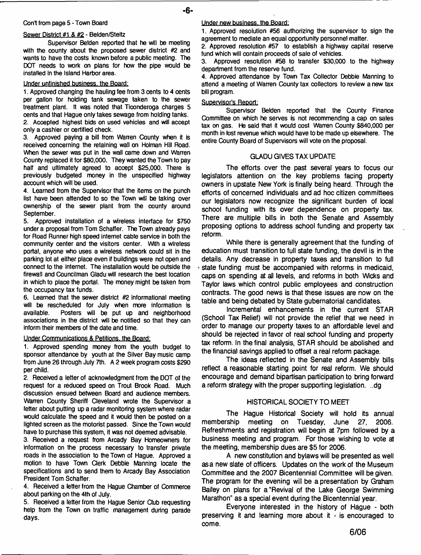#### **Con't from page 5 - Town Board**

#### **Sewer District #1 & #2 - Belden/Steltz**

**Supervisor Belden reported that he will be meeting with the county about the proposed sewer district #2 and wants to have the costs known before a public meeting. The DOT needs to work on plans for how the pipe would be installed in the Island Harbor area.**

## **Under unfinished business, the Board:**

**1. Approved changing the hauling fee from 3 cents to 4 cents per gallon for holding tank sewage taken to the sewer treatment plant. It was noted that Tioonderoga charges 5 cents and that Hague only takes sewage from holding tanks. 2. Accepted highest bids on used vehicles and will accept only a cashier or certified check.**

**3. Approved paying a bill from Warren County when it is received concerning the retaining wall on Holman Hill Road. When the sewer was put in the wall came down and Warren County replaced it for \$80,000. They wanted the Town to pay half and ultimately agreed to accept \$25,OCO. There is previously budgeted money in the unspecified highway account which will be used.**

**4. Learned from the Supervisor that the items on the punch list have been attended to so the Town will be taking over ownership of the sewer plant from the county around September.**

**5. Approved installation of a wireless interface for \$750 under a proposal from Tom Schaffer. The Town already pays for Road Runner high speed internet cable service in both the community center and the visitors center. With a wireless portal, anyone who uses a wireless network could sit in the parking lot at either place even if buildings were not open and connect to the internet. The installation would be outside the firewall and Councilman Gladu will research the best location in which to place the portal. The money might be taken from the occupancy tax funds.**

**6. Learned that the sewer district #2 informational meeting will be rescheduled for July when more information is available. Posters will be put up and neighborhood associations in the district will be notified so that they can inform their members of the date and time.**

## **Under Communications & Petitions, the Board:**

**1. Approved spending money from the youth budget to sponsor attendance by youth at the Silver Bay music camp from June 26 through July 7th. A 2 week program costs \$290 per child.**

**2. Received a letter of acknowledgment from the DOT of the request for a reduced speed on Trout Brook Road. Much discussion ensued between Board and audience members. Warren County Sheriff Cleveland wrote the Supervisor a letter about putting up a radar monitoring system where radar would calculate the speed and it would then be posted on a lighted screen as the motorist passed. Since the Town would have to purchase this system, it was not deemed advisable.**

**3. Received a request from Arcady Bay Homeowners for information on the process necessary to transfer private roads in the association to the Town of Hague. Approved a motion to have Town Clerk Debbie Manning locate the specifications and to send them to Arcady Bay Association President Tom Schaffer.**

**4. Received a letter from the Hague Chamber of Commerce about parking on the 4th of July.**

**5. Received a letter from the Hague Senior Club requesting help from the Town on traffic management during parade days.**

## **Under new business, the Board;**

**1. Approved resolution #56 authorizing the supervisor to sign the agreement to mediate an equal opportunity personnel matter.**

**2. Approved resolution #57 to establish a highway capital reserve fund which will contain proceeds of sale of vehicles.**

**3. Approved resolution #58 to transfer \$30,000 to the highway department from the reserve fund.**

**4. Approved attendance by Town Tax Collector Debbie Manning to attend a meeting of Warren County tax collectors to review a new tax bill program.**

#### **Supervisor's Report:**

**Supervisor Belden reported that the County Finance Committee on which he serves is not recommending a cap on sales tax on gas. He said that it would cost Warren County \$840,000 per month in lost revenue which would have to be made up elsewhere. The entire County Board of Supervisors will vote on the proposal.**

#### **GLADU GIVES TAX UPDATE**

**The efforts over the past several years to focus our legislators attention on the key problems facing property owners in upstate New York is finally being heard. Through the** efforts of concerned individuals and ad hoc citizen committees **our legislators now recognize the significant burden of local school funding with its over dependence on property tax.** There are multiple bills in both the Senate and Assembly **proposing options to address school funding and property tax reform.**

While there is generally agreement that the funding of **education must transition to full state funding, the devil is in the details. Any decrease in property taxes and transition to full** state funding must be accompanied with reforms in medicaid, **caps on spending at all levels, and reforms in both Wicks and Taylor laws which control public em ployees and construction** contracts. The good news is that these issues are now on the **table and being debated by State gubernatorial candidates.**

Incremental enhancements in the current STAR **(School Tax Relief) will not provide the relief that we need in order to m anage our property taxes to an affordable level and should be rejected in favor of real school funding and property tax reform. In the final analysis, STAR should be abolished and the financial savings applied to offset a real reform package.**

The ideas reflected in the Senate and Assembly bills reflect a reasonable starting point for real reform. We should **encourage and dem and bipartisan participation to bring forward a reform strategy with the proper supporting legislation. ..dg**

## HISTORICAL SOCIETY TO MEET

The Hague Historical Society will hold its annual membership meeting on Tuesday, June 27, 2006. **Refreshm ents and registration will begin at 7pm followed by a business meeting and program. For those wishing to vote at** the meeting, membership dues are \$5 for 2006.

**A new constitution and bylaws will be presented as well asa new slate of officers. Updates on the work of the Museum** Committee and the 2007 Bicentennial Committee will be given. **The program for the evening will be a presentation by Graham** Bailey on plans for a "Revival of the Lake George Swimming **Marathon" as a special event during the Bicentennial year.**

**Everyone interested in the history of Hague - both preserving it and learning more about it - is encouraged to com e.**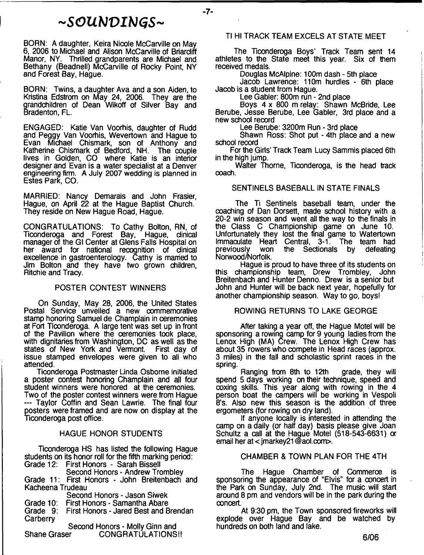# *~ S O U b J V I h ) G S ~*

- **7**-

BORN: A daughter, Keira Nicole McCarville on May 6, 2006 to Michael and Alison McCarville of Briardiff Manor, NY. Thrilled grandparents are Michael and Bethany (Beadnell) McCarville of Rocky Point, NY and Forest Bay, Hague.

BORN: Twins, a daughter Ava and a son Aiden, to Kristina Edstrom on May 24, 2006. They are the grandchildren of Dean Wikoff of Silver Bay and Bradenton, FL.

ENGAGED: Katie Van Voorhis, daughter of Rudd and Peggy Van Voorhis, Wevertown and Hague to Evan Michael Chismark, son of Anthony and Katherine Chismark of Bedford, NH. The couple lives in Golden, CO where Katie is an interior designer and Evan is a water specialist at a Denver engineering firm. A July 2007 wedding is planned in Estes Park, CO.

MARRIED: Nancy Demarais and John Frasier, Hague, on April 22 at the Hague Baptist Church. They reside on New Hague Road, Hague.

CONGRATULATIONS: To Cathy Bolton, RN, of Ticonderoga and Forest Bay, Hague, clinical manager of the GI Center at Glens Falls Hospital on her award for national recognition of dinical excellence in gastroenterology. Cathy is married to Jim Bolton and they have two grown children, Ritchie and Tracy.

## POSTER CONTEST WINNERS

On Sunday, May 28, 2006, the United States Postal Service unveiled a new oommemorative stamp honoring Samuel de Champlain in ceremonies at Fort Ticonderoga. A large tent was set up in front of the Pavilion where the ceremonies took place, with dignitaries from Washington, DC as well as the states of New York and Vermont. First day of states of New York and Vermont. issue stamped envelopes were given to all who attended.

Ticonderoga Postmaster Linda Osborne initiated a poster contest honoring Champlain and all four student winners were honored at the ceremonies. Two of the poster contest winners were from Hague — Taylor Coffin and Sean Lawrie. The final four posters were framed and are now on display at the Ticonderoga post office.

## HAGUE HONOR STUDENTS

Ticonderoga HS has listed the following Hague students on its honor roll for the fifth marking period:

|                     | Grade 12: First Honors - Sarah Bissell         |
|---------------------|------------------------------------------------|
|                     | Second Honors - Andrew Trombley                |
|                     | Grade 11: First Honors - John Breitenbach and  |
| Kacheena Trudeau    |                                                |
|                     | Second Honors - Jason Siwek                    |
|                     | Grade 10: First Honors - Samantha Abare        |
|                     | Grade 9: First Honors - Jared Best and Brendan |
| Carberry            |                                                |
|                     | Second Honors - Molly Ginn and                 |
| <b>Shane Graser</b> | <b>CONGRATÚLATIONS!!</b>                       |

## Tl HI TRACK TEAM EXCELS AT STATE MEET

The Ticonderoga Boys' Track Team sent 14 athletes to the State meet this year. Six of them received medals.

Douglas McAlpine: 100m dash - 5th place

Jacob Lawrence: 110m hurdles - 6th place Jacob is a student from Hague.

Lee Gabler: 800m run - 2nd place

Boys 4 x 800 m relay: Shawn McBride, Lee Berube, Jesse Berube, Lee Gabler, 3rd place and a new school record

Lee Berube: 3200m Run - 3rd place

Shawn Ross: Shot put - 4th place and a new school record

For the Girls' Track Team Lucy Sammis placed 6th in the high jump.

Walter Thorne, Ticonderoga, is the head track coach.

## SENTINELS BASEBALL IN STATE FINALS

The Ti Sentinels baseball team, under the coaching of Dan Dorsett, made school history with a 20-2 win season and went all the way to the finals in the Class C Championship game on June 10. Unfortunately they lost the final game to Watertown Immaculate Heart Central, 3-1. The team had<br>previously won the Sectionals by defeating the Sectionals by Norwood/Norfolk.

Hague is proud to have three of its students on championship team, Drew Trombley, John Breitenbach and Hunter Denno. Drew is a senior but John and Hunter will be back next year, hopefully for another championship season. Way to go, boys!

## ROWING RETURNS TO LAKE GEORGE

After taking a year off, the Hague Motel will be sponsoring a rowing camp for 9 young ladies from the Lenox High (MA) Crew. The Lenox High Crew has about 35 rowers who compete in Head races (approx. 3 miles) in the fall and scholastic sprint races in the spring.

Ranging from 8th to 12th grade, they will spend 5 days working on their technique, speed and coxing skills. This year along with rowing in the 4 person boat the campers will be working in Vespoli 8's. Also new this season is the addition of three ergometers (for rowing on dry land).

If anyone locally is interested in attending the camp on a daily (or half day) basis please give Joan Schultz a call at the Hague Motel (518-543-6631) or email her at < jmarkey21 @aol.com>.

## CHAMBER & TOWN PLAN FOR THE 4TH

The Hague Chamber of Commerce is sponsoring the appearance of "Elvis" for a concert in the Park on Sunday, July 2nd. The music will start around 8 pm and vendors will be in the park during the concert.

At 9:30 pm, the Town sponsored fireworks will explode over Hague Bay and be watched by hundreds on both land and lake.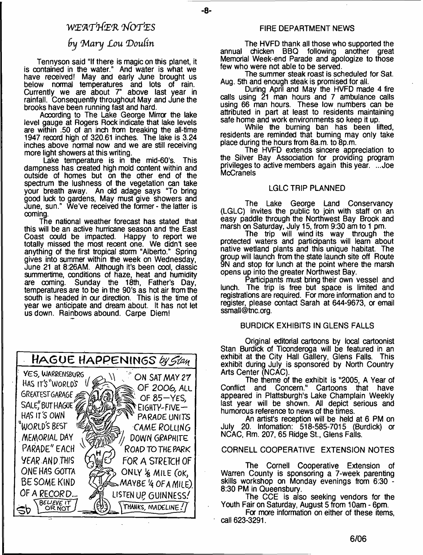## *W E W rttiE R 7 fo r\*E S*

-8-

## *fry 'Mary Lou Doufin*

Tennyson said "If there is magic on this planet, it is contained in the water." And water is what we have received! May and early June brought us below normal temperatures and lots of rain. Currently we are about 7" above last year in rainfall. Consequently throughout May and June the brooks have been running fast and hard.

According to The Lake George Mirror the lake level gauge at Rogers Rock indicate that lake levels are within .50 of an inch from breaking the all-time 1947 record high of 320.61 inches. The lake is 3.24 inches above normal now and we are still receiving more light showers at this writing.

Lake temperature is in the mid-60's. This dampness has created high mold content within and outside of homes but on the other end of the spectrum the lushness of the vegetation can take your breath away. An old adage says "To bring good luck to gardens, May must give showers and June, sun." We've received the former - the latter is coming.

The national weather forecast has stated that this will be an active hurricane season and the East Coast could be impacted. Happy to report we totally missed the most reoent one. We didn't see anything of the first tropical storm "Alberto." Spring gives into summer within the week on Wednesday, June 21 at 8:26AM. Although it's been cool, classic summertime, conditions of haze, heat and humidity<br>are coming. Sunday the 18th, Father's Day, Sunday the 18th, Father's Day, temperatures are to be in the 90's as hot air from the south is headed in our direction. This is the time of year we anticipate and dream about. It has not let us down. Rainbows abound. Carpe Diem!



## FIRE DEPARTMENT NEWS

The HVFD thank all those who supported the annual chicken BBQ following another great Memorial Week-end Parade and apologize to those few who were not able to be served.

The summer steak roast is scheduled for Sat. Aug. 5th and enough steak is promised for all.

During April and May the HVFD made 4 fire calls using 21 man hours and 7 ambulance calls using 66 man hours. These low numbers can be attributed in part at least to residents maintaining safe home and work environments so keep it up.

While the burning ban has been lifted, residents are reminded that burning may only take place during the hours from 8a.m. to 8p.m.

The HVFD extends sincere appreciation to the Silver Bay Association for providing program privileges to active members again this year. ...Joe **McCranels** 

#### LGLC TRIP PLANNED

The Lake George Land Conservancy (LGLC) invites the public to join with staff on an easy paddle through the Northwest Bay Brook and marsh on Saturday, July 15, from 9:30 am to 1 pm.

The trip will wind its way through the protected waters and participants will learn about native wetland plants and this unique habitat. The group will launch from the state launch site off Route 9N and stop for lunch at the point where the marsh opens up into the greater Northwest Bay.

Participants must bring their own vessel and lunch. The trip is free but space is limited and registrations are required. For more information and to register, please contact Sarah at 644-9673, or email [ssmall@tnc.org](mailto:ssmall@tnc.org).

## BURDICK EXHIBITS IN GLENS FALLS

Original editorial cartoons by local cartoonist Stan Burdick of Ticonderoga will be featured in an exhibit at the City Hall Gallery, Glens Falls. This exhibit during July is sponsored by North Country Arts Center (NCAC).

The theme of the exhibit is "2005, A Year of Conflict and Concern." Cartoons that have appeared in Plattsburgh's Lake Champlain Weekly last year will be shown. All depict serious and humorous reference to news of the times.

An artist's reception will be held at 6 PM on July 20. Infomation: 518-585-7015 (Burdick) a NCAC, Rm. 207, 65 Ridge St., Glens Falls.

## CORNELL COOPERATIVE EXTENSION NOTES

The Cornell Cooperative Extension of Warren County is sponsoring a 7-week parenting skills workshop on Monday evenings from 6:30 - 8:30 PM in Queensbury.

The CCE is also seeking vendors for the Youth Fair on Saturday, August 5 from 10am - 6pm.

For more information on either of these items, call 623-3291.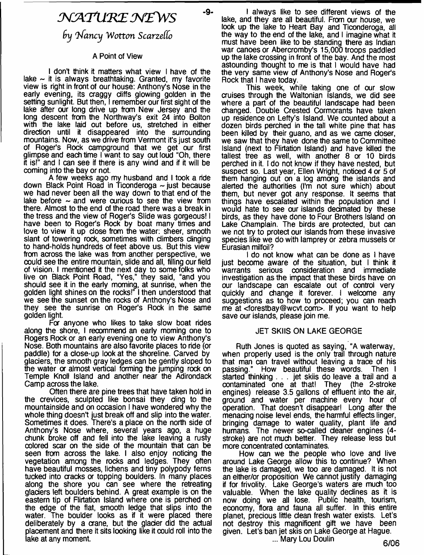# *J \ C K T U 'K E M g W S*

-9-

## $9y$  Nancy Wotton Scarzello

## A Point of View

I don't think it matters what view I have of the lake  $\sim$  it is always breathtaking. Granted, my favorite view is right in front of our house: Anthony's Nose in the early evening, its craggy cliffs glowing golden in the setting sunlight. But then, I remember our first sight of the lake after our long drive up from New Jersey and the long descent from the Northway's exit 24 into Bolton with the lake laid out before us, stretched in either direction until it disappeared into the surrounding mountains. Now, as we drive from Vermont it's just south of Roger's Rock campground that we get our first glimpse and each time I want to say out loud "Oh, there it is!" and I can see if there is any wind and if it will be coming into the bay or not.

A few weeks ago my husband and I took a ride down Black Point Road in Ticonderoga  $\sim$  just because we had never been all the way down to that end of the lake before  $\sim$  and were curious to see the view from there. Almost to the end of the road there was a break in the tress and the view of Roger's Slide was gorgeous! I have been to Roger's Rock by boat many times and love to view it up dose from the water: sheer, smooth slant of towering rock, sometimes with dimbers dinging to hand-holds hundreds of feet above us. But this view from across the lake was from another perspective, we could seethe entire mountain, slide and all, filling our field of vision. I mentioned it the next day to some folks who live on Black Point Road, "Yes," tney said, "and you should see it in the early morning, at sunrise, when the golden light shines on the rocks!" I then understood that we see the sunset on the rocks of Anthony's Nose and they see the sunrise on Roger's Rock in the same golden light.

Fa anyone who likes to take slow boat rides along the shore, I recommend an early morning one to Rogers Rock or an early evening one to view Anthony's Nose. Both mountains are also favorite places to ride (or paddle) for a close-up look at the shoreline. Carved by gladers, the smooth gray ledges can be gently sloped to the water or almost vertical forming the jumping rock on Temple Knoll Island and another near the Adirondack Camp across the lake.

Often there are pine trees that have taken hold in the crevices, sculpted like bonsai they ding to the mountainside and on occasion I have wondered why the whole thing doesn't just break off and slip into the water. Sometimes it does. There's a place on the north side of Anthony's Nose where, several years ago, a huge chunk broke off and fell into the lake leaving a rusty colored scar on the side of the mountain that can be seen from across the lake. I also enjoy noticing the vegetation among the rocks and ledges. They often have beautiful mosses, lichens and tiny polypody ferns tucked into aacks a topping boulders. In many places along the shore you can see where the retreating glaciers left boulders behind. A great example is on the eastern tip of Flirtation Island where one is perched on the edge of the flat, smooth ledge that slips into the water. The boulder looks as if it were placed there deliberately by a crane, but the glacier did the actual placement and there it sits looking like it could roll into the lake at any moment.

I always like to see different views of the lake, and they are all beautiful. From our house, we look up the lake to Heart Bay and Ticonderoga, all the way to the end of the lake, and I imagine what it must have been like to be standing there as Indian war canoes or Abercromby's 15,000 troops paddled up the lake crossing in front of the bay. And the most astounding thought to me is that I would have had the very same view of Anthony's Nose and Roger's Rock that I have today.

This week, while taking one of our slow cruises through the Waltonian Islands, we did see where a part of the beautiful landscape had been changed. Double Crested Cormorants have taken up residence on Lefty's Island. We counted about a dozen birds perched in the tall white pine that has been killed by their guano, and as we came closer, we saw that they have done the same to Committee Island (next to Flirtation Island) and have killed the tallest tree as well, with another 8 or 10 birds perched in it. I do not know if they have nested, but suspect so. Last year, Ellen Wright, noticed 4 or 5 of them hanging out on a log among the islands and alerted the authorities (I'm not sure which) about them, but never got any response. It seems that things have escalated within the population and I would hate to see our islands decimated by these birds, as they have done to Four Brothers Island on Lake Champlain. The birds are protected, but can we not try to protect our islands from these invasive species like we do with lamprey or zebra mussels or Eurasian milfoil?

I do not know what can be done as I have just become aware of the situation, but I think it consideration and immediate investigation as the impact that these birds have on our landscape can escalate out of control very quickly and change it forever. I welcome any suggestions as to how to proceed; you can reach me at [<forestbay@wcvt.com](mailto:forestbay@wcvt.com)>. If you want to help save our islands, please join me.

## JET SKIIS ON LAKE GEORGE

Ruth Jones is quoted as saying, "A waterway, when properly used is the only trail through nature that man can travel without leaving a trace of his<br>passing." How beautiful these words. Then I passing." How beautiful these words. started thinking . . . jet skiis do leave a trail and a contaminated one at that! They (the 2-stroke engines) release 3.5 gallons of effluent into the air, ground and water per machine every hour of operation. That doesn't disappear! Long after the menacing noise level ends, the harmful effects linger, bringing damage to water quality, plant life and humans. The newer so-called deaner engines (4stroke) are not much better. They release less but more concentrated contaminates.

How can we the people who love and live around Lake George allow this to continue? When the lake is damaged, we too are damaged. It is not an either/or proposition We cannot justify damaging if for frivolity. Lake George's waters are much too valuable. When the lake quality declines as it is now doing we all lose. Public health, tourism, economy, flora and fauna all suffer. In this entire planet, precious little dean fresh water exists. Let's not destroy this magnificent gift we have been given. Let's ban jet skis on Lake George at Hague.

... Mary Lou Doulin